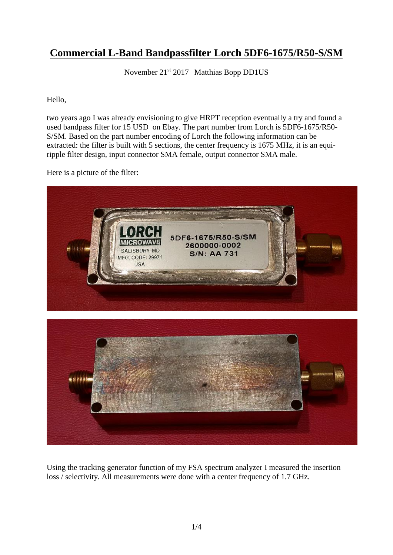## **Commercial L-Band Bandpassfilter Lorch 5DF6-1675/R50-S/SM**

November 21<sup>st</sup> 2017 Matthias Bopp DD1US

Hello,

two years ago I was already envisioning to give HRPT reception eventually a try and found a used bandpass filter for 15 USD on Ebay. The part number from Lorch is 5DF6-1675/R50- S/SM. Based on the part number encoding of Lorch the following information can be extracted: the filter is built with 5 sections, the center frequency is 1675 MHz, it is an equiripple filter design, input connector SMA female, output connector SMA male.

Here is a picture of the filter:



Using the tracking generator function of my FSA spectrum analyzer I measured the insertion loss / selectivity. All measurements were done with a center frequency of 1.7 GHz.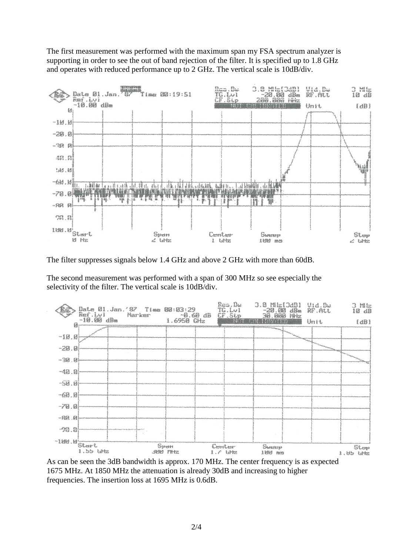The first measurement was performed with the maximum span my FSA spectrum analyzer is supporting in order to see the out of band rejection of the filter. It is specified up to 1.8 GHz and operates with reduced performance up to 2 GHz. The vertical scale is 10dB/div.



The filter suppresses signals below 1.4 GHz and above 2 GHz with more than 60dB.

The second measurement was performed with a span of 300 MHz so see especially the selectivity of the filter. The vertical scale is 10dB/div.



As can be seen the 3dB bandwidth is approx. 170 MHz. The center frequency is as expected 1675 MHz. At 1850 MHz the attenuation is already 30dB and increasing to higher frequencies. The insertion loss at 1695 MHz is 0.6dB.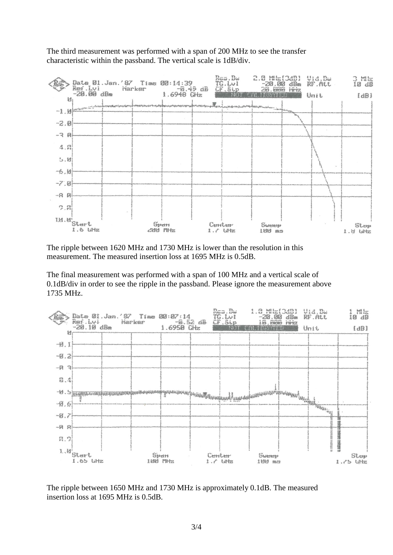The third measurement was performed with a span of 200 MHz to see the transfer characteristic within the passband. The vertical scale is 1dB/div.



The ripple between 1620 MHz and 1730 MHz is lower than the resolution in this measurement. The measured insertion loss at 1695 MHz is 0.5dB.

The final measurement was performed with a span of 100 MHz and a vertical scale of 0.1dB/div in order to see the ripple in the passband. Please ignore the measurement above 1735 MHz.



The ripple between 1650 MHz and 1730 MHz is approximately 0.1dB. The measured insertion loss at 1695 MHz is 0.5dB.